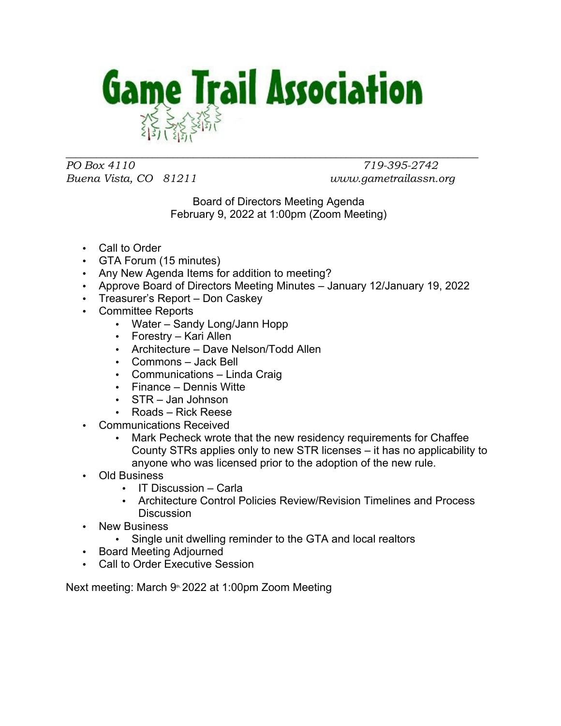

*PO Box 4110 719-395-2742 Buena Vista, CO 81211 www.gametrailassn.org*

 $\_$  , and the set of the set of the set of the set of the set of the set of the set of the set of the set of the set of the set of the set of the set of the set of the set of the set of the set of the set of the set of th

Board of Directors Meeting Agenda February 9, 2022 at 1:00pm (Zoom Meeting)

- Call to Order
- GTA Forum (15 minutes)
- Any New Agenda Items for addition to meeting?
- Approve Board of Directors Meeting Minutes January 12/January 19, 2022
- Treasurer's Report Don Caskey
- Committee Reports
	- Water Sandy Long/Jann Hopp
	- Forestry Kari Allen
	- Architecture Dave Nelson/Todd Allen
	- Commons Jack Bell
	- Communications Linda Craig
	- Finance Dennis Witte
	- STR Jan Johnson
	- Roads Rick Reese
- Communications Received
	- Mark Pecheck wrote that the new residency requirements for Chaffee County STRs applies only to new STR licenses – it has no applicability to anyone who was licensed prior to the adoption of the new rule.
- Old Business
	- IT Discussion Carla
	- Architecture Control Policies Review/Revision Timelines and Process **Discussion**
- **New Business** 
	- Single unit dwelling reminder to the GTA and local realtors
- Board Meeting Adjourned
- Call to Order Executive Session

Next meeting: March 9<sup>th, 2022</sup> at 1:00pm Zoom Meeting